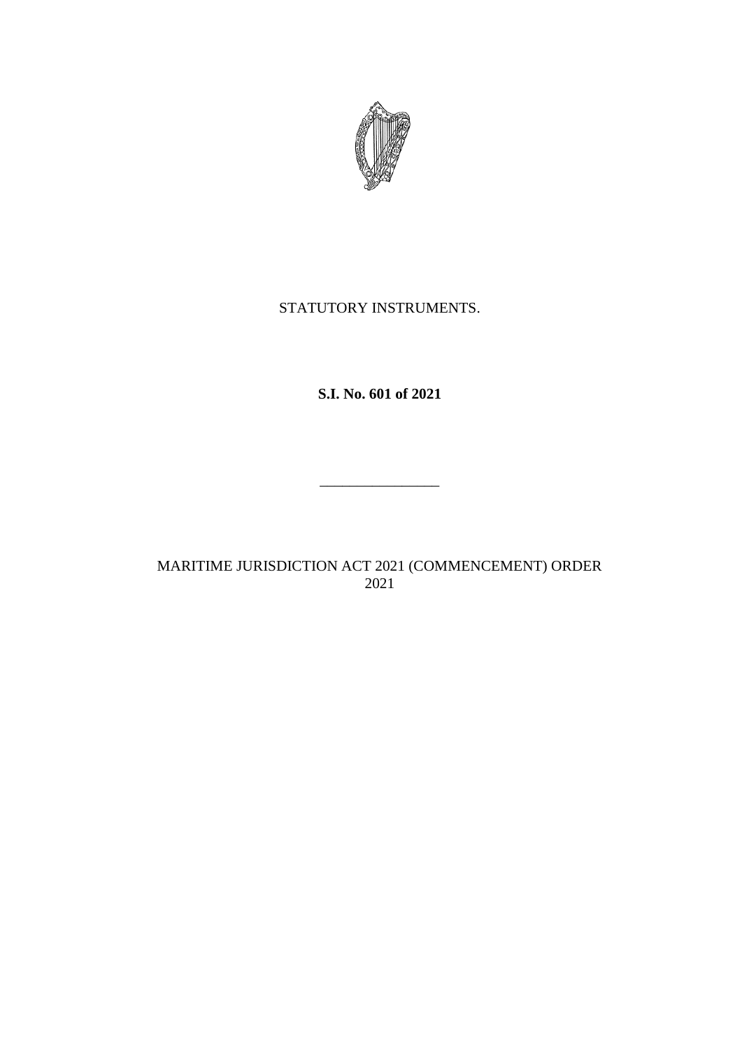

## STATUTORY INSTRUMENTS.

**S.I. No. 601 of 2021**

 $\overline{\phantom{a}}$  . The state of the state of the state of the state of the state of the state of the state of the state of the state of the state of the state of the state of the state of the state of the state of the state of

MARITIME JURISDICTION ACT 2021 (COMMENCEMENT) ORDER 2021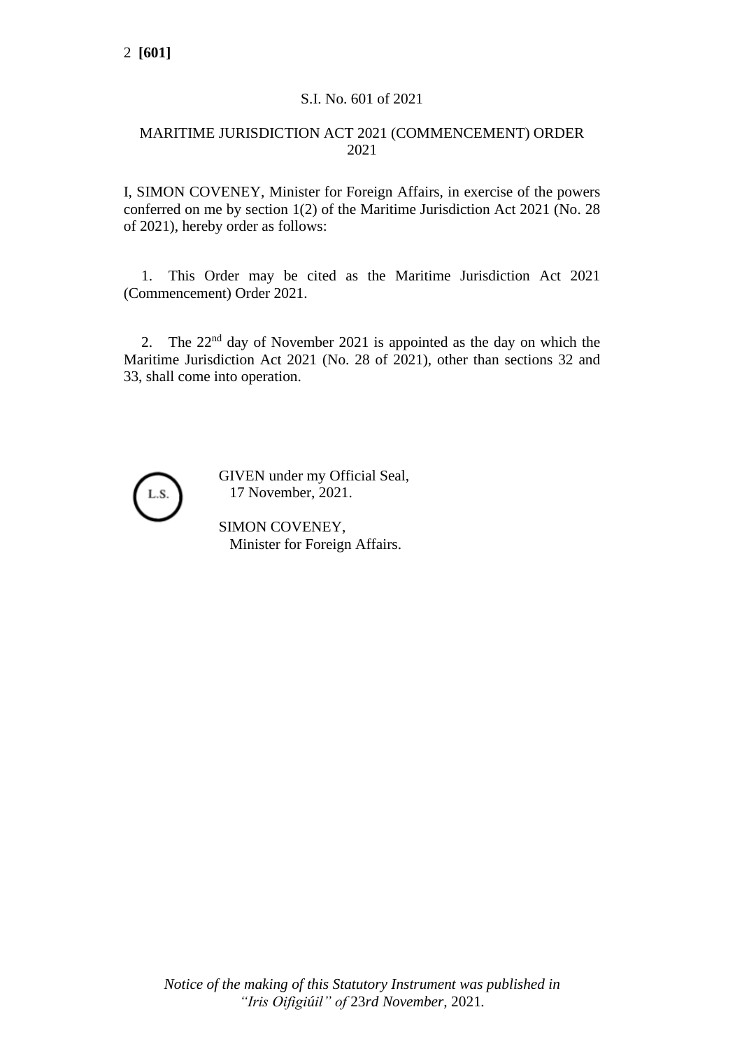## S.I. No. 601 of 2021

## MARITIME JURISDICTION ACT 2021 (COMMENCEMENT) ORDER 2021

I, SIMON COVENEY, Minister for Foreign Affairs, in exercise of the powers conferred on me by section 1(2) of the Maritime Jurisdiction Act 2021 (No. 28 of 2021), hereby order as follows:

1. This Order may be cited as the Maritime Jurisdiction Act 2021 (Commencement) Order 2021.

2. The 22nd day of November 2021 is appointed as the day on which the Maritime Jurisdiction Act 2021 (No. 28 of 2021), other than sections 32 and 33, shall come into operation.



GIVEN under my Official Seal, 17 November, 2021.

SIMON COVENEY, Minister for Foreign Affairs.